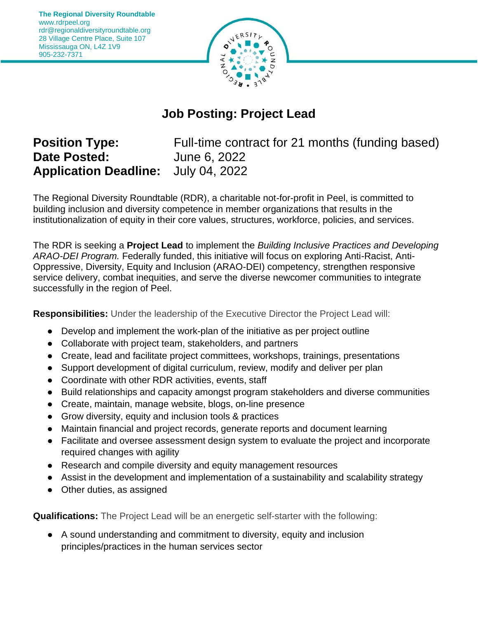

## **Job Posting: Project Lead**

## **Position Type: Date Posted: Application Deadline:** July 04, 2022

Full-time contract for 21 months (funding based) June 6, 2022

The Regional Diversity Roundtable (RDR), a charitable not-for-profit in Peel, is committed to building inclusion and diversity competence in member organizations that results in the institutionalization of equity in their core values, structures, workforce, policies, and services.

The RDR is seeking a **Project Lead** to implement the *Building Inclusive Practices and Developing ARAO-DEI Program.* Federally funded, this initiative will focus on exploring Anti-Racist, Anti-Oppressive, Diversity, Equity and Inclusion (ARAO-DEI) competency, strengthen responsive service delivery, combat inequities, and serve the diverse newcomer communities to integrate successfully in the region of Peel.

**Responsibilities:** Under the leadership of the Executive Director the Project Lead will:

- Develop and implement the work-plan of the initiative as per project outline
- Collaborate with project team, stakeholders, and partners
- Create, lead and facilitate project committees, workshops, trainings, presentations
- Support development of digital curriculum, review, modify and deliver per plan
- Coordinate with other RDR activities, events, staff
- Build relationships and capacity amongst program stakeholders and diverse communities
- Create, maintain, manage website, blogs, on-line presence
- Grow diversity, equity and inclusion tools & practices
- Maintain financial and project records, generate reports and document learning
- Facilitate and oversee assessment design system to evaluate the project and incorporate required changes with agility
- Research and compile diversity and equity management resources
- Assist in the development and implementation of a sustainability and scalability strategy
- Other duties, as assigned

**Qualifications:** The Project Lead will be an energetic self-starter with the following:

● A sound understanding and commitment to diversity, equity and inclusion principles/practices in the human services sector